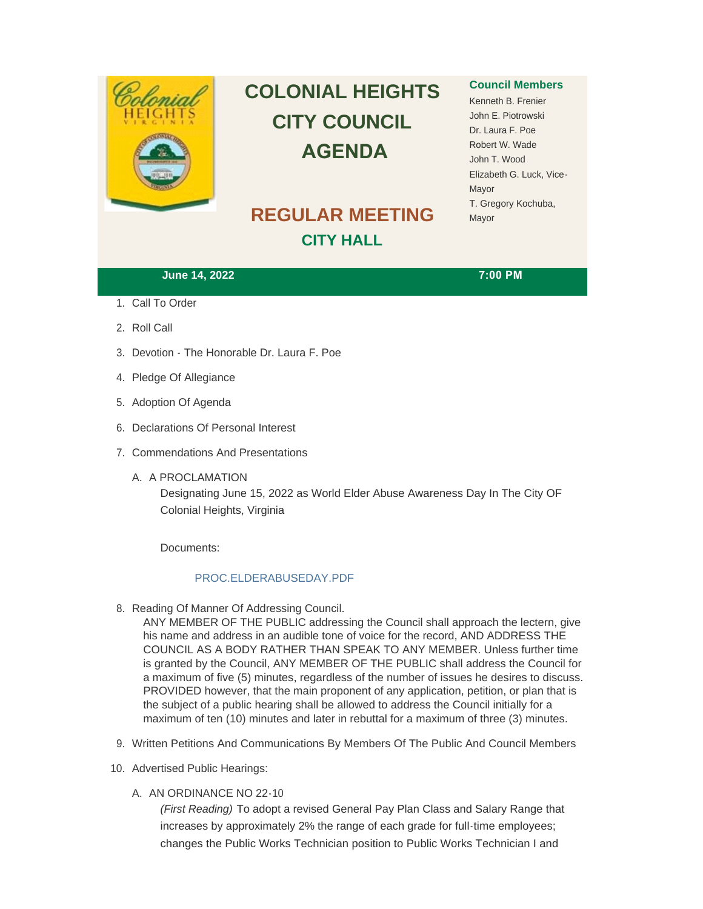

# **COLONIAL HEIGHTS CITY COUNCIL AGENDA**

## **REGULAR MEETING CITY HALL**

### **Council Members**

Kenneth B. Frenier John E. Piotrowski Dr. Laura F. Poe Robert W. Wade John T. Wood Elizabeth G. Luck, Vice-Mayor T. Gregory Kochuba, Mayor

#### **June 14, 2022 7:00 PM**

- 1. Call To Order
- 2. Roll Call
- 3. Devotion The Honorable Dr. Laura F. Poe
- 4. Pledge Of Allegiance
- 5. Adoption Of Agenda
- 6. Declarations Of Personal Interest
- 7. Commendations And Presentations
	- A. A PROCLAMATION

Designating June 15, 2022 as World Elder Abuse Awareness Day In The City OF Colonial Heights, Virginia

Documents:

#### [PROC.ELDERABUSEDAY.PDF](http://www.colonialheightsva.gov/AgendaCenter/ViewFile/Item/5712?fileID=8607)

8. Reading Of Manner Of Addressing Council.

ANY MEMBER OF THE PUBLIC addressing the Council shall approach the lectern, give his name and address in an audible tone of voice for the record, AND ADDRESS THE COUNCIL AS A BODY RATHER THAN SPEAK TO ANY MEMBER. Unless further time is granted by the Council, ANY MEMBER OF THE PUBLIC shall address the Council for a maximum of five (5) minutes, regardless of the number of issues he desires to discuss. PROVIDED however, that the main proponent of any application, petition, or plan that is the subject of a public hearing shall be allowed to address the Council initially for a maximum of ten (10) minutes and later in rebuttal for a maximum of three (3) minutes.

- 9. Written Petitions And Communications By Members Of The Public And Council Members
- 10. Advertised Public Hearings:
	- A. AN ORDINANCE NO 22-10

*(First Reading)* To adopt a revised General Pay Plan Class and Salary Range that increases by approximately 2% the range of each grade for full-time employees; changes the Public Works Technician position to Public Works Technician I and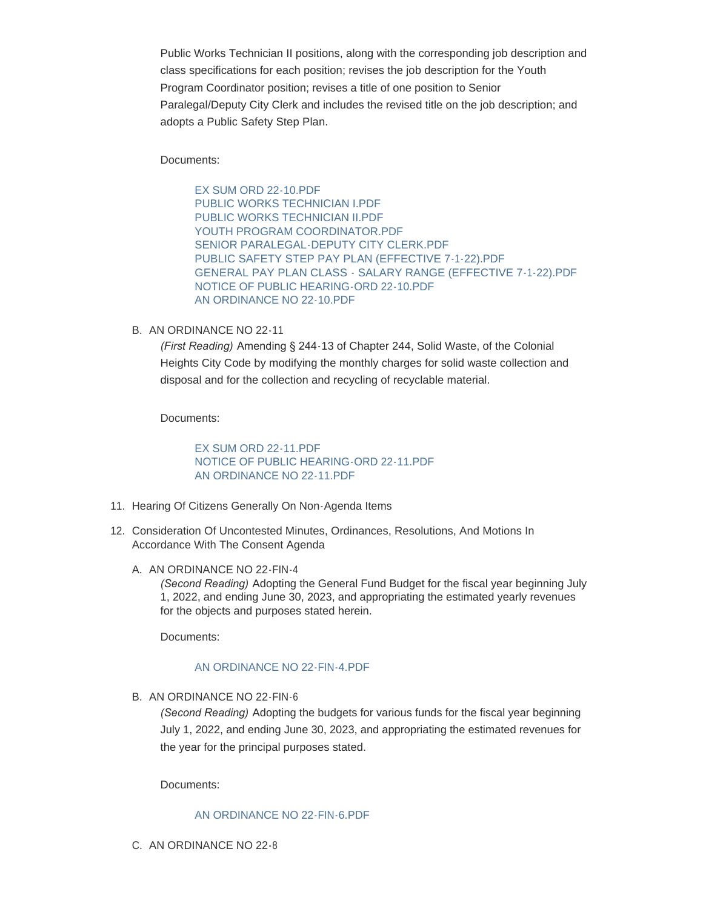Public Works Technician II positions, along with the corresponding job description and class specifications for each position; revises the job description for the Youth Program Coordinator position; revises a title of one position to Senior Paralegal/Deputy City Clerk and includes the revised title on the job description; and adopts a Public Safety Step Plan.

Documents:

[EX SUM ORD 22-10.PDF](http://www.colonialheightsva.gov/AgendaCenter/ViewFile/Item/5710?fileID=8630) [PUBLIC WORKS TECHNICIAN I.PDF](http://www.colonialheightsva.gov/AgendaCenter/ViewFile/Item/5710?fileID=8612) [PUBLIC WORKS TECHNICIAN II.PDF](http://www.colonialheightsva.gov/AgendaCenter/ViewFile/Item/5710?fileID=8613) YOUTH PROGRAM COORDINATOR PDF [SENIOR PARALEGAL-DEPUTY CITY CLERK.PDF](http://www.colonialheightsva.gov/AgendaCenter/ViewFile/Item/5710?fileID=8614) [PUBLIC SAFETY STEP PAY PLAN \(EFFECTIVE 7-1-22\).PDF](http://www.colonialheightsva.gov/AgendaCenter/ViewFile/Item/5710?fileID=8611) [GENERAL PAY PLAN CLASS - SALARY RANGE \(EFFECTIVE 7-1-22\).PDF](http://www.colonialheightsva.gov/AgendaCenter/ViewFile/Item/5710?fileID=8609) [NOTICE OF PUBLIC HEARING-ORD 22-10.PDF](http://www.colonialheightsva.gov/AgendaCenter/ViewFile/Item/5710?fileID=8610) [AN ORDINANCE NO 22-10.PDF](http://www.colonialheightsva.gov/AgendaCenter/ViewFile/Item/5710?fileID=8608)

B. AN ORDINANCE NO 22-11

*(First Reading)* Amending § 244-13 of Chapter 244, Solid Waste, of the Colonial Heights City Code by modifying the monthly charges for solid waste collection and disposal and for the collection and recycling of recyclable material.

Documents:

[EX SUM ORD 22-11.PDF](http://www.colonialheightsva.gov/AgendaCenter/ViewFile/Item/5709?fileID=8631) [NOTICE OF PUBLIC HEARING-ORD 22-11.PDF](http://www.colonialheightsva.gov/AgendaCenter/ViewFile/Item/5709?fileID=8617) [AN ORDINANCE NO 22-11.PDF](http://www.colonialheightsva.gov/AgendaCenter/ViewFile/Item/5709?fileID=8636)

- 11. Hearing Of Citizens Generally On Non-Agenda Items
- 12. Consideration Of Uncontested Minutes, Ordinances, Resolutions, And Motions In Accordance With The Consent Agenda
	- A. AN ORDINANCE NO 22-FIN-4

*(Second Reading)* Adopting the General Fund Budget for the fiscal year beginning July 1, 2022, and ending June 30, 2023, and appropriating the estimated yearly revenues for the objects and purposes stated herein.

Documents:

#### [AN ORDINANCE NO 22-FIN-4.PDF](http://www.colonialheightsva.gov/AgendaCenter/ViewFile/Item/5707?fileID=8621)

B. AN ORDINANCE NO 22-FIN-6

*(Second Reading)* Adopting the budgets for various funds for the fiscal year beginning July 1, 2022, and ending June 30, 2023, and appropriating the estimated revenues for the year for the principal purposes stated.

Documents:

#### [AN ORDINANCE NO 22-FIN-6.PDF](http://www.colonialheightsva.gov/AgendaCenter/ViewFile/Item/5708?fileID=8620)

C. AN ORDINANCE NO 22-8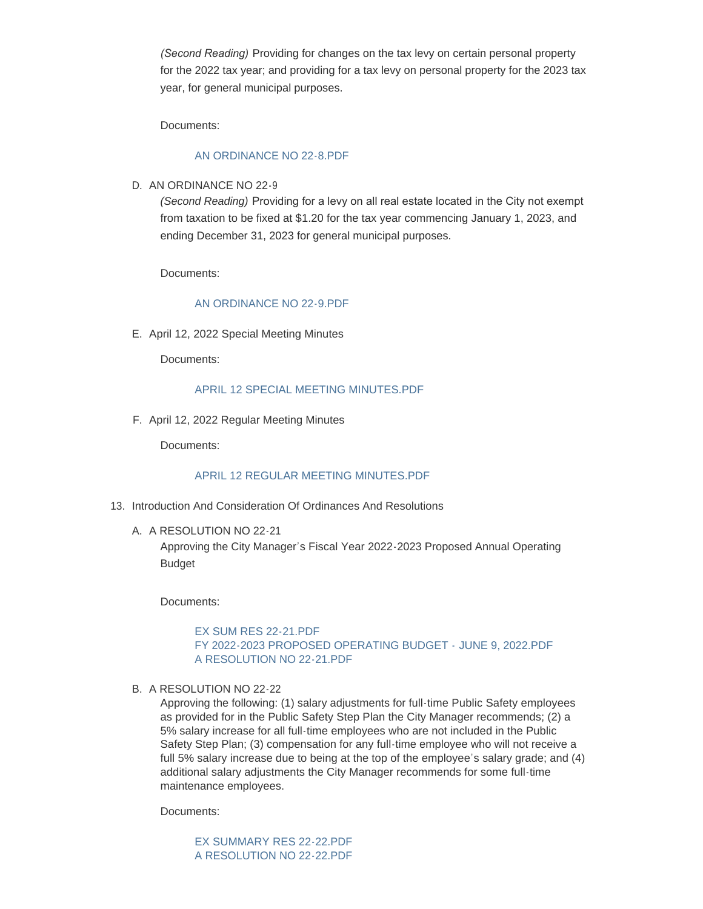*(Second Reading)* Providing for changes on the tax levy on certain personal property for the 2022 tax year; and providing for a tax levy on personal property for the 2023 tax year, for general municipal purposes.

Documents:

#### [AN ORDINANCE NO 22-8.PDF](http://www.colonialheightsva.gov/AgendaCenter/ViewFile/Item/5705?fileID=8627)

D. AN ORDINANCE NO 22-9

*(Second Reading)* Providing for a levy on all real estate located in the City not exempt from taxation to be fixed at \$1.20 for the tax year commencing January 1, 2023, and ending December 31, 2023 for general municipal purposes.

Documents:

#### [AN ORDINANCE NO 22-9.PDF](http://www.colonialheightsva.gov/AgendaCenter/ViewFile/Item/5706?fileID=8622)

E. April 12, 2022 Special Meeting Minutes

Documents:

#### [APRIL 12 SPECIAL MEETING MINUTES.PDF](http://www.colonialheightsva.gov/AgendaCenter/ViewFile/Item/5734?fileID=8625)

F. April 12, 2022 Regular Meeting Minutes

Documents:

#### [APRIL 12 REGULAR MEETING MINUTES.PDF](http://www.colonialheightsva.gov/AgendaCenter/ViewFile/Item/5735?fileID=8626)

- 13. Introduction And Consideration Of Ordinances And Resolutions
	- A. A RESOLUTION NO 22-21

Approving the City Manager's Fiscal Year 2022-2023 Proposed Annual Operating Budget

Documents:

[EX SUM RES 22-21.PDF](http://www.colonialheightsva.gov/AgendaCenter/ViewFile/Item/5704?fileID=8635) [FY 2022-2023 PROPOSED OPERATING BUDGET -](http://www.colonialheightsva.gov/AgendaCenter/ViewFile/Item/5704?fileID=8632) JUNE 9, 2022.PDF [A RESOLUTION NO 22-21.PDF](http://www.colonialheightsva.gov/AgendaCenter/ViewFile/Item/5704?fileID=8634)

B. A RESOLUTION NO 22-22

Approving the following: (1) salary adjustments for full-time Public Safety employees as provided for in the Public Safety Step Plan the City Manager recommends; (2) a 5% salary increase for all full-time employees who are not included in the Public Safety Step Plan; (3) compensation for any full-time employee who will not receive a full 5% salary increase due to being at the top of the employee's salary grade; and (4) additional salary adjustments the City Manager recommends for some full-time maintenance employees.

Documents:

[EX SUMMARY RES 22-22.PDF](http://www.colonialheightsva.gov/AgendaCenter/ViewFile/Item/5736?fileID=8633) [A RESOLUTION NO 22-22.PDF](http://www.colonialheightsva.gov/AgendaCenter/ViewFile/Item/5736?fileID=8629)